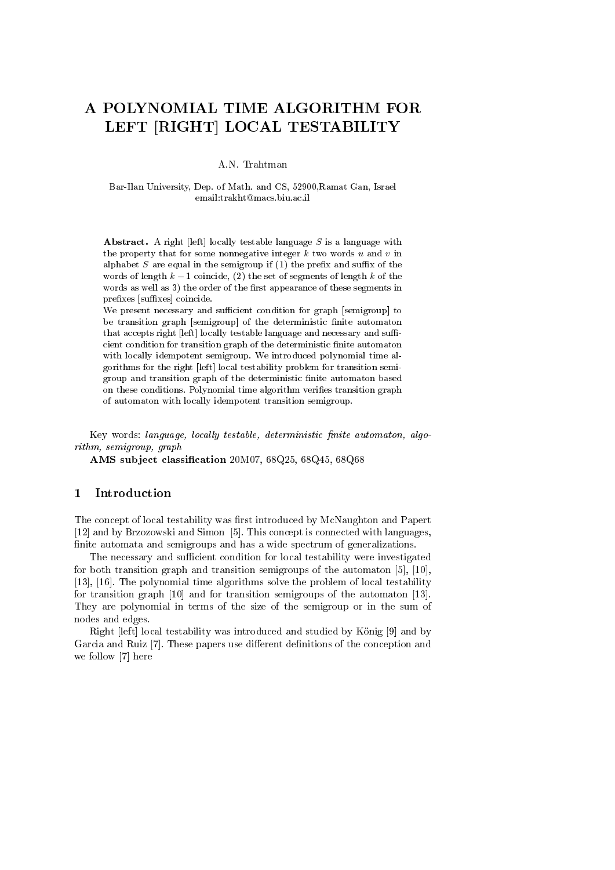# A POLYNOMIAL TIME ALGORITHM FOR LEFT [RIGHT] LOCAL TESTABILITY

#### A.N. Trahtman

#### Bar-Ilan University, Dep. of Math. and CS, 52900,Ramat Gan, Israel email:trakht@macs.biu.ac.il

Abstract. A right [left] locally testable language  $S$  is a language with the property that for some nonnegative integer  $k$  two words  $u$  and  $v$  in alphabet  $S$  are equal in the semigroup if  $(1)$  the prefix and suffix of the words of length  $k-1$  coincide, (2) the set of segments of length k of the words as well as 3) the order of the first appearance of these segments in prefixes [suffixes] coincide.

We present necessary and sufficient condition for graph [semigroup] to be transition graph [semigroup] of the deterministic finite automaton that accepts right [left] locally testable language and necessary and sufficient condition for transition graph of the deterministic finite automaton with locally idempotent semigroup. We introduced polynomial time algorithms for the right [left] local testability problem for transition semigroup and transition graph of the deterministic finite automaton based on these conditions. Polynomial time algorithm verifies transition graph of automaton with locally idempotent transition semigroup.

Key words: language, locally testable, deterministic finite automaton, algorithm, semigroup, graph

AMS subject classification 20M07, 68Q25, 68Q45, 68Q68

# 1 Introduction

The concept of local testability was first introduced by McNaughton and Papert [12] and by Brzozowski and Simon [5]. This concept is connected with languages, finite automata and semigroups and has a wide spectrum of generalizations.

The necessary and sufficient condition for local testability were investigated for both transition graph and transition semigroups of the automaton [5], [10], [13], [16]. The polynomial time algorithms solve the problem of local testability for transition graph [10] and for transition semigroups of the automaton [13]. They are polynomial in terms of the size of the semigroup or in the sum of nodes and edges.

Right [left] local testability was introduced and studied by König [9] and by Garcia and Ruiz [7]. These papers use different definitions of the conception and we follow [7] here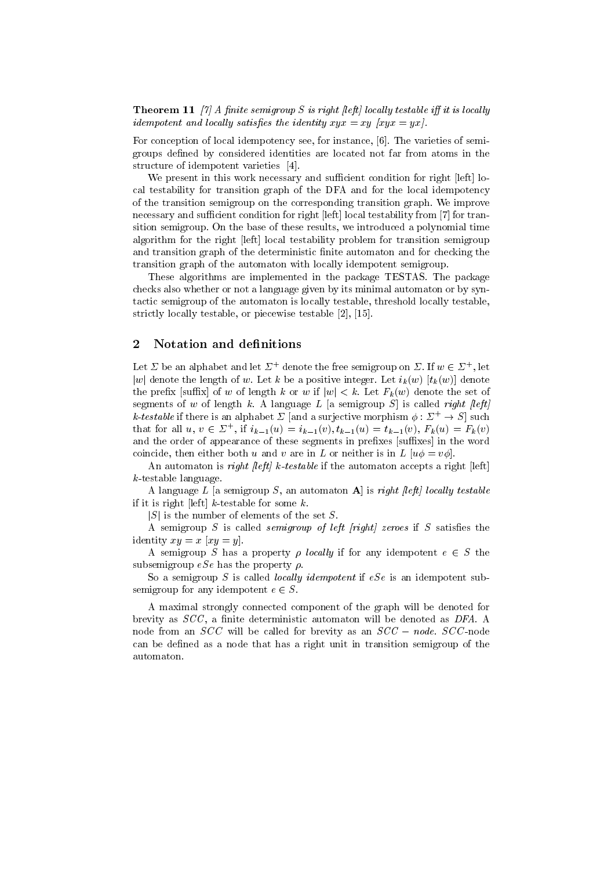**Theorem 11** [7] A finite semigroup S is right [left] locally testable iff it is locally *idempotent and locally satisfies the identity*  $xyx = xy$  *[xyx = yx]*.

For conception of local idempotency see, for instance, [6]. The varieties of semigroups defined by considered identities are located not far from atoms in the structure of idempotent varieties [4].

We present in this work necessary and sufficient condition for right [left] local testability for transition graph of the DFA and for the local idempotency of the transition semigroup on the corresponding transition graph. We improve necessary and sufficient condition for right [left] local testability from [7] for transition semigroup. On the base of these results, we introduced a polynomial time algorithm for the right [left] local testability problem for transition semigroup and transition graph of the deterministic finite automaton and for checking the transition graph of the automaton with locally idempotent semigroup.

These algorithms are implemented in the package TESTAS. The package checks also whether or not a language given by its minimal automaton or by syntactic semigroup of the automaton is locally testable, threshold locally testable, strictly locally testable, or piecewise testable [2], [15].

# 2 Notation and definitions

Let  $\Sigma$  be an alphabet and let  $\Sigma^+$  denote the free semigroup on  $\Sigma$ . If  $w \in \Sigma^+$ , let |w| denote the length of w. Let k be a positive integer. Let  $i_k(w)$  [ $t_k(w)$ ] denote the prefix [suffix] of w of length k or w if  $|w| < k$ . Let  $F_k(w)$  denote the set of segments of w of length k. A language L [a semigroup S] is called right [left] k-testable if there is an alphabet  $\Sigma$  [and a surjective morphism  $\phi : \Sigma^+ \to S$ ] such that for all  $u, v \in \Sigma^{+}$ , if  $i_{k-1}(u) = i_{k-1}(v), t_{k-1}(u) = t_{k-1}(v), F_k(u) = F_k(v)$ and the order of appearance of these segments in prefixes [suffixes] in the word coincide, then either both u and v are in L or neither is in  $L \left[ u\phi = v\phi \right]$ .

An automaton is right *[left]* k-testable if the automaton accepts a right [left] k-testable language.

A language  $L$  [a semigroup  $S$ , an automaton  $A$ ] is *right [left] locally testable* if it is right [left]  $k$ -testable for some  $k$ .

 $|S|$  is the number of elements of the set S.

A semigroup  $S$  is called semigroup of left  $[right]$  zeroes if  $S$  satisfies the identity  $xy = x$  [ $xy = y$ ].

A semigroup S has a property  $\rho$  locally if for any idempotent  $e \in S$  the subsemigroup  $eSe$  has the property  $\rho$ .

So a semigroup S is called *locally idempotent* if  $eSe$  is an idempotent subsemigroup for any idempotent  $e \in S$ .

A maximal strongly connected component of the graph will be denoted for brevity as  $SCC$ , a finite deterministic automaton will be denoted as DFA. A node from an  $SCC$  will be called for brevity as an  $SCC - node$ .  $SCC$ -node can be defined as a node that has a right unit in transition semigroup of the automaton.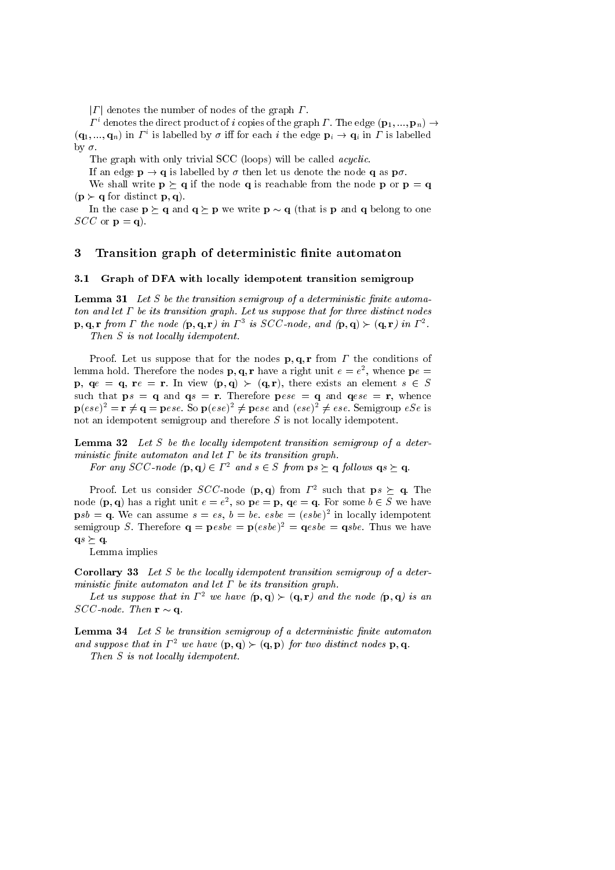$|I|$  denotes the number of nodes of the graph  $I$ .

 $\varGamma^i$  denotes the direct product of i copies of the graph  $\varGamma$ . The edge  $(\mathbf{p}_1,...,\mathbf{p}_n) \to$  $(\mathbf{q}_1, ..., \mathbf{q}_n)$  in  $\Gamma^i$  is labelled by  $\sigma$  iff for each i the edge  $\mathbf{p}_i \to \mathbf{q}_i$  in  $\Gamma$  is labelled by  $\sigma$ .

The graph with only trivial SCC (loops) will be called acyclic.

If an edge  $\mathbf{p} \to \mathbf{q}$  is labelled by  $\sigma$  then let us denote the node **q** as  $\mathbf{p}\sigma$ .

We shall write  $p \succeq q$  if the node q is reachable from the node p or  $p = q$  $(p \succ q$  for distinct  $p, q$ ).

In the case  $p \succeq q$  and  $q \succeq p$  we write  $p \sim q$  (that is p and q belong to one  $SCC$  or  $\mathbf{p} = \mathbf{q}$ ).

### 3 Transition graph of deterministic finite automaton

#### 3.1 Graph of DFA with locally idempotent transition semigroup

**Lemma 31** Let  $S$  be the transition semigroup of a deterministic finite automaton and let  $\Gamma$  be its transition graph. Let us suppose that for three distinct nodes  $\mathbf{p}, \mathbf{q}, \mathbf{r}$  from  $\Gamma$  the node  $(\mathbf{p}, \mathbf{q}, \mathbf{r})$  in  $\Gamma^3$  is SCC-node, and  $(\mathbf{p}, \mathbf{q}) \succ (\mathbf{q}, \mathbf{r})$  in  $\Gamma^2$ . Then S is not locally idempotent.

Proof. Let us suppose that for the nodes  $\mathbf{p}, \mathbf{q}, \mathbf{r}$  from  $\Gamma$  the conditions of lemma hold. Therefore the nodes  $\mathbf{p}, \mathbf{q}, \mathbf{r}$  have a right unit  $e = e^2$ , whence  $\mathbf{p}e =$ **p**,  $q e = q$ ,  $r e = r$ . In view  $(p,q) \succ (q,r)$ , there exists an element  $s \in S$ such that  $ps = q$  and  $qs = r$ . Therefore  $pese = q$  and  $qese = r$ , whence  $\mathbf{p}(ese)^2 = \mathbf{r} \neq \mathbf{q} = \mathbf{p}ese$ . So  $\mathbf{p}(ese)^2 \neq \mathbf{p}ese$  and  $(ese)^2 \neq ese$ . Semigroup  $eSe$  is not an idempotent semigroup and therefore S is not locally idempotent.

**Lemma 32** Let  $S$  be the locally idempotent transition semigroup of a deterministic finite automaton and let  $\Gamma$  be its transition graph.

For any SCC-node  $(\mathbf{p}, \mathbf{q}) \in \Gamma^2$  and  $s \in S$  from  $\mathbf{p}s \succeq \mathbf{q}$  follows  $\mathbf{q}s \succeq \mathbf{q}$ .

Proof. Let us consider  $SCC$ -node  $(\mathbf{p}, \mathbf{q})$  from  $\Gamma^2$  such that  $\mathbf{p}s \succeq \mathbf{q}$ . The node  $(\mathbf{p}, \mathbf{q})$  has a right unit  $e = e^2$ , so  $\mathbf{p}e = \mathbf{p}$ ,  $\mathbf{q}e = \mathbf{q}$ . For some  $b \in S$  we have  $\mathbf{p} s b = \mathbf{q}$ . We can assume  $s = e s$ ,  $b = be$ .  $e s b e = (e s b e)^2$  in locally idempotent semigroup S. Therefore  $\mathbf{q} = \mathbf{p}esbe = \mathbf{p}(esbe)^2 = \mathbf{q}esbe = \mathbf{q}sbe$ . Thus we have  $\mathbf{q}s \succeq \mathbf{q}$ .

Lemma implies

Corollary 33 Let S be the locally idempotent transition semigroup of a deterministic finite automaton and let  $\Gamma$  be its transition graph.

Let us suppose that in  $\Gamma^2$  we have  $({\bf p},{\bf q}) \succ ({\bf q},{\bf r})$  and the node  $({\bf p},{\bf q})$  is an SCC-node. Then  $\mathbf{r} \sim \mathbf{q}$ .

**Lemma 34** Let  $S$  be transition semigroup of a deterministic finite automaton and suppose that in  $\Gamma^2$  we have  $(\mathbf{p}, \mathbf{q}) \succ (\mathbf{q}, \mathbf{p})$  for two distinct nodes  $\mathbf{p}, \mathbf{q}$ .

Then S is not locally idempotent.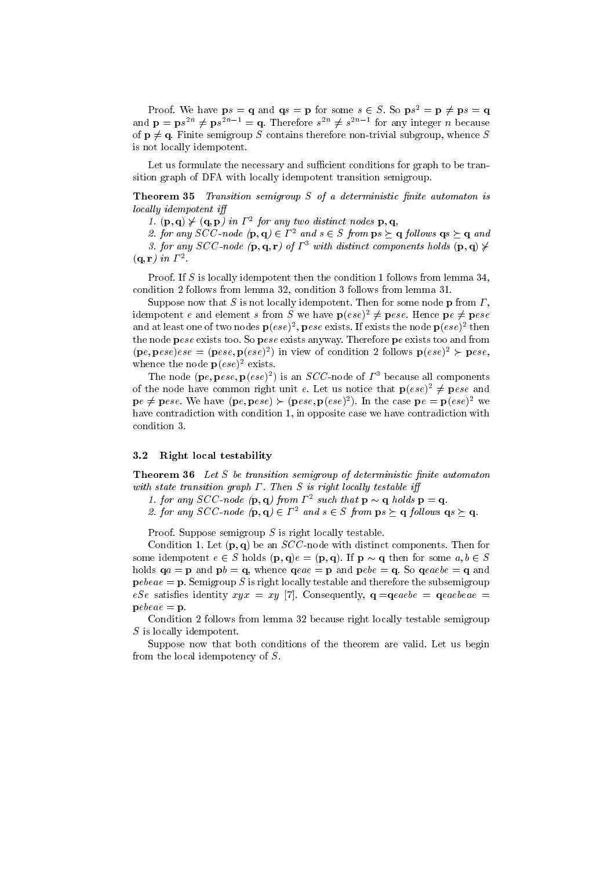Proof. We have  $\mathbf{p}s = \mathbf{q}$  and  $\mathbf{q}s = \mathbf{p}$  for some  $s \in S$ . So  $\mathbf{p}s^2 = \mathbf{p} \neq \mathbf{p}s = \mathbf{q}$ and  $\mathbf{p} = \mathbf{p} s^{2n} \neq \mathbf{p} s^{2n-1} = \mathbf{q}$ . Therefore  $s^{2n} \neq s^{2n-1}$  for any integer *n* because of  $p \neq q$ . Finite semigroup S contains therefore non-trivial subgroup, whence S is not locally idempotent.

Let us formulate the necessary and sufficient conditions for graph to be transition graph of DFA with locally idempotent transition semigroup.

**Theorem 35** Transition semigroup  $S$  of a deterministic finite automaton is locally idempotent iff

1.  $(\mathbf{p}, \mathbf{q}) \nsucc (\mathbf{q}, \mathbf{p})$  in  $\Gamma^2$  for any two distinct nodes  $\mathbf{p}, \mathbf{q},$ 

2. for any SCC-node  $(\mathbf{p}, \mathbf{q}) \in \Gamma^2$  and  $s \in S$  from  $\mathbf{p}s \succeq \mathbf{q}$  follows  $\mathbf{q}s \succeq \mathbf{q}$  and

3. for any SCC-node  $(\mathbf{p}, \mathbf{q}, \mathbf{r})$  of  $\Gamma^3$  with distinct components holds  $(\mathbf{p}, \mathbf{q}) \nsucc$  $(q, r)$  in  $\Gamma^2$ .

Proof. If S is locally idempotent then the condition 1 follows from lemma 34, condition 2 follows from lemma 32, condition 3 follows from lemma 31.

Suppose now that S is not locally idempotent. Then for some node  $p$  from  $\Gamma$ , idempotent e and element s from S we have  $p(ese)^2 \neq pese$ . Hence  $pe \neq pese$ and at least one of two nodes  $\mathbf{p}(ese)^2$ ,  $\mathbf{p}ese$  exists. If exists the node  $\mathbf{p}(ese)^2$  then the node pese exists too. So pese exists anyway. Therefore pe exists too and from  $(\mathbf{p}e, \mathbf{p}ese)ese = (\mathbf{p}ese, \mathbf{p}(ese)^2)$  in view of condition 2 follows  $\mathbf{p}(ese)^2 \succ \mathbf{p}ese$ , whence the node  $\mathbf{p}(ese)^2$  exists.

The node  $(\mathbf{p}e, \mathbf{p}ese, \mathbf{p}(ese)^2)$  is an  $SCC$ -node of  $\mathnormal{\Gamma}^3$  because all components of the node have common right unit e. Let us notice that  $p(ese)^2 \neq pese$  and  $pe \neq pese$ . We have  $(pe, pese) \succ (pese, p(ese)^2)$ . In the case  $pe = p(ese)^2$  we have contradiction with condition 1, in opposite case we have contradiction with condition 3.

#### 3.2 Right local testability

**Theorem 36** Let  $S$  be transition semigroup of deterministic finite automaton with state transition graph  $\Gamma$ . Then  $S$  is right locally testable iff

1. for any SCC-node  $(\mathbf{p}, \mathbf{q})$  from  $\Gamma^2$  such that  $\mathbf{p} \sim \mathbf{q}$  holds  $\mathbf{p} = \mathbf{q}$ .

2. for any SCC-node  $(\mathbf{p}, \mathbf{q}) \in \Gamma^2$  and  $s \in S$  from  $\mathbf{p}s \succeq \mathbf{q}$  follows  $\mathbf{q}s \succeq \mathbf{q}$ .

Proof. Suppose semigroup  $S$  is right locally testable.

Condition 1. Let  $(p, q)$  be an *SCC*-node with distinct components. Then for some idempotent  $e \in S$  holds  $(p, q)e = (p, q)$ . If  $p \sim q$  then for some  $a, b \in S$ holds  $qa = p$  and  $pb = q$ , whence  $q$ eae = p and  $pebe = q$ . So  $q$ eaebe = q and  $pebeae = p$ . Semigroup S is right locally testable and therefore the subsemigroup eSe satisfies identity  $xyx = xy$  [7]. Consequently,  $q = q$  =qeaebea =  $pebeae = p$ .

Condition 2 follows from lemma 32 because right locally testable semigroup S is locally idempotent.

Suppose now that both conditions of the theorem are valid. Let us begin from the local idempotency of S.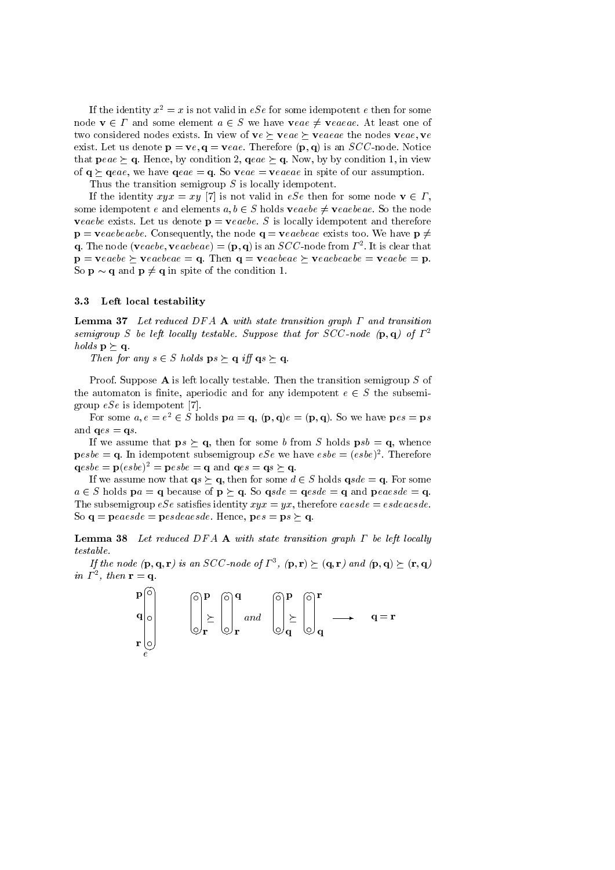If the identity  $x^2 = x$  is not valid in  $eSe$  for some idempotent  $e$  then for some node  $\mathbf{v} \in \Gamma$  and some element  $a \in S$  we have  $\mathbf{v}e$   $\neq \mathbf{v}e$  *eaeae*. At least one of two considered nodes exists. In view of  $v \in \mathcal{V}$  vear- $\mathcal{V}$  veacae the nodes veae, ve exist. Let us denote  $p = ve$ ,  $q = veae$ . Therefore  $(p, q)$  is an *SCC*-node. Notice that  $peae \succ q$ . Hence, by condition 2,  $qee \succ q$ . Now, by by condition 1, in view of  $q \succ q$ eae, we have  $q$ eae = q. So veae = veaeae in spite of our assumption.

Thus the transition semigroup  $S$  is locally idempotent.

If the identity  $xyx = xy$  [7] is not valid in eSe then for some node  $\mathbf{v} \in \Gamma$ , some idempotent e and elements  $a, b \in S$  holds veaebe  $\neq$  veaebeae. So the node **veaebe** exists. Let us denote  $p = veeebe$ . S is locally idempotent and therefore  $p = veeaebaaebe$ . Consequently, the node  $q = veeaebaae$  exists too. We have  $p \neq$ **q**. The node (**v**eaebe, **v**eaebeae) =  $(\mathbf{p}, \mathbf{q})$  is an *SCC*-node from  $\Gamma^2$ . It is clear that  $p = veeebe \succ veaebeae = q$ . Then  $q = veaebeae \succ veaebeaebe = veaebe = p$ . So  $p \sim q$  and  $p \neq q$  in spite of the condition 1.

#### 3.3 Left local testability

**Lemma 37** Let reduced DFA  $\bf{A}$  with state transition graph  $\Gamma$  and transition semigroup S be left locally testable. Suppose that for SCC-node  $(\mathbf{p}, \mathbf{q})$  of  $\Gamma^2$ holds  $\mathbf{p} \succ \mathbf{q}$ .

Then for any  $s \in S$  holds  $\mathbf{p}s \succ \mathbf{q}$  iff  $\mathbf{q}s \succ \mathbf{q}$ .

Proof. Suppose  $A$  is left locally testable. Then the transition semigroup  $S$  of the automaton is finite, aperiodic and for any idempotent  $e \in S$  the subsemigroup  $eSe$  is idempotent [7].

For some  $a, e = e^2 \in S$  holds  $\mathbf{p}a = \mathbf{q}$ ,  $(\mathbf{p}, \mathbf{q})e = (\mathbf{p}, \mathbf{q})$ . So we have  $\mathbf{p}es = \mathbf{p}s$ and  $\mathbf{a}es = \mathbf{a}s$ .

If we assume that  $\mathbf{p}s \succ \mathbf{q}$ , then for some b from S holds  $\mathbf{p}sb = \mathbf{q}$ , whence  $\mathbf{p}e s b e = \mathbf{q}$ . In idempotent subsemigroup  $eSe$  we have  $e s b e = (e s b e)^2$ . Therefore  $qesbe = p(esbe)^2 = pesbe = q$  and  $qes = qs \ge q$ .

If we assume now that  $\mathbf{q}s \succeq \mathbf{q}$ , then for some  $d \in S$  holds  $\mathbf{q}sde = \mathbf{q}$ . For some  $a \in S$  holds  $pa = q$  because of  $p \succeq q$ . So  $q$ sde =  $q$ esde = q and peaesde = q. The subsemigroup  $eSe$  satisfies identity  $xyx = yx$ , therefore eaesde = esdeaesde. So  $q = peaesde = pesdeaesde$ . Hence,  $pes = ps \succ q$ .

**Lemma 38** Let reduced DFA  $\bf{A}$  with state transition graph  $\Gamma$  be left locally testable.

If the node  $({\bf p},{\bf q},{\bf r})$  is an SCC-node of  $\mathnormal{\Gamma}^3$ ,  $({\bf p},{\bf r})\succeq({\bf q},{\bf r})$  and  $({\bf p},{\bf q})\succeq({\bf r},{\bf q})$ in  $\Gamma^2$ , then  $\mathbf{r} = \mathbf{q}$ .

$$
\mathbf{P}^{\circ} \mathbf{q} \Big|_{\mathbf{r}} \Big|_{\mathbf{r}} \Bigg|_{\mathbf{r}} \Bigg|_{\mathbf{r}} \Bigg|_{\mathbf{r}}^{\mathbf{p}} \Bigg|_{\mathbf{r}}^{\mathbf{q}} \text{ and } \Bigg|_{\mathbf{r}}^{\mathbf{p}} \Bigg|_{\mathbf{r}}^{\mathbf{p}} \Bigg|_{\mathbf{r}}^{\mathbf{r}} \Bigg|_{\mathbf{r}}^{\mathbf{r}} \Bigg|_{\mathbf{r}}^{\mathbf{r}} \Bigg|_{\mathbf{r}}^{\mathbf{r}} \Bigg|_{\mathbf{r}}^{\mathbf{r}} \Bigg|_{\mathbf{r}}^{\mathbf{r}} \Bigg|_{\mathbf{r}}^{\mathbf{r}} \Bigg|_{\mathbf{r}}^{\mathbf{r}} \Bigg|_{\mathbf{r}}^{\mathbf{r}} \Bigg|_{\mathbf{r}}^{\mathbf{r}} \Bigg|_{\mathbf{r}}^{\mathbf{r}} \Bigg|_{\mathbf{r}}^{\mathbf{r}} \Bigg|_{\mathbf{r}}^{\mathbf{r}} \Bigg|_{\mathbf{r}}^{\mathbf{r}} \Bigg|_{\mathbf{r}}^{\mathbf{r}} \Bigg|_{\mathbf{r}}^{\mathbf{r}} \Bigg|_{\mathbf{r}}^{\mathbf{r}} \Bigg|_{\mathbf{r}}^{\mathbf{r}} \Bigg|_{\mathbf{r}}^{\mathbf{r}} \Bigg|_{\mathbf{r}}^{\mathbf{r}} \Bigg|_{\mathbf{r}}^{\mathbf{r}} \Bigg|_{\mathbf{r}}^{\mathbf{r}} \Bigg|_{\mathbf{r}}^{\mathbf{r}} \Bigg|_{\mathbf{r}}^{\mathbf{r}} \Bigg|_{\mathbf{r}}^{\mathbf{r}} \Bigg|_{\mathbf{r}}^{\mathbf{r}} \Bigg|_{\mathbf{r}}^{\mathbf{r}} \Bigg|_{\mathbf{r}}^{\mathbf{r}} \Bigg|_{\mathbf{r}}^{\mathbf{r}} \Bigg|_{\mathbf{r}}^{\mathbf{r}} \Bigg|_{\mathbf{r}}^{\mathbf{r}} \Bigg|_{\mathbf{r}}^{\mathbf{r}} \Bigg|_{\mathbf{r}}^{\mathbf{r}} \Bigg|_{\mathbf{r}}^{\mathbf{r}} \Bigg|_{\mathbf{r}}^{\
$$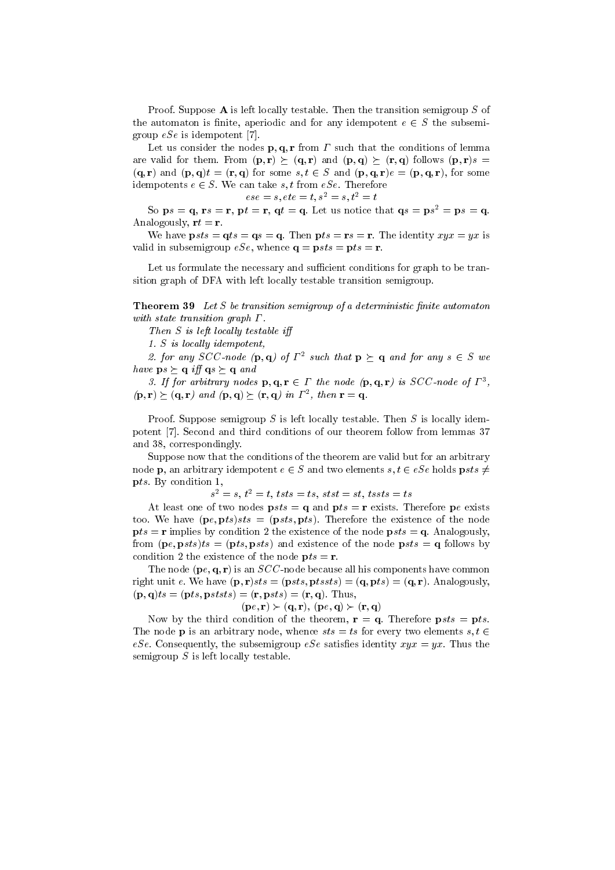Proof. Suppose  $A$  is left locally testable. Then the transition semigroup S of the automaton is finite, aperiodic and for any idempotent  $e \in S$  the subsemigroup  $eSe$  is idempotent [7].

Let us consider the nodes  $\mathbf{p}, \mathbf{q}, \mathbf{r}$  from  $\Gamma$  such that the conditions of lemma are valid for them. From  $(p, r) \succeq (q, r)$  and  $(p, q) \succeq (r, q)$  follows  $(p, r)s =$  $(\mathbf{q}, \mathbf{r})$  and  $(\mathbf{p}, \mathbf{q})t = (\mathbf{r}, \mathbf{q})$  for some  $s, t \in S$  and  $(\mathbf{p}, \mathbf{q}, \mathbf{r})e = (\mathbf{p}, \mathbf{q}, \mathbf{r})$ , for some idempotents  $e \in S$ . We can take  $s, t$  from  $eSe$ . Therefore

$$
ese = s, ete = t, s^2 = s, t^2 = t
$$

So  $\mathbf{p}s = \mathbf{q}$ ,  $\mathbf{r}s = \mathbf{r}$ ,  $\mathbf{p}t = \mathbf{r}$ ,  $\mathbf{q}t = \mathbf{q}$ . Let us notice that  $\mathbf{q}s = \mathbf{p}s^2 = \mathbf{p}s = \mathbf{q}$ . Analogously,  $\mathbf{r}t = \mathbf{r}$ .

We have  $psts = qts = qs = q$ . Then  $pts = rs = r$ . The identity  $xyx = yx$  is valid in subsemigroup  $eSe$ , whence  $q = psts = pts = r$ .

Let us formulate the necessary and sufficient conditions for graph to be transition graph of DFA with left locally testable transition semigroup.

**Theorem 39** Let S be transition semigroup of a deterministic finite automaton with state transition graph  $\Gamma$ .

Then  $S$  is left locally testable iff

1. S is locally idempotent,

2. for any SCC-node  $(\mathbf{p}, \mathbf{q})$  of  $\Gamma^2$  such that  $\mathbf{p} \succeq \mathbf{q}$  and for any  $s \in S$  we have  $ps \succeq q$  iff  $qs \succeq q$  and

3. If for arbitrary nodes  $\mathbf{p}, \mathbf{q}, \mathbf{r} \in \Gamma$  the node  $(\mathbf{p}, \mathbf{q}, \mathbf{r})$  is SCC-node of  $\Gamma^3$ ,  $(\mathbf{p}, \mathbf{r}) \succeq (\mathbf{q}, \mathbf{r})$  and  $(\mathbf{p}, \mathbf{q}) \succeq (\mathbf{r}, \mathbf{q})$  in  $\Gamma^2$ , then  $\mathbf{r} = \mathbf{q}$ .

Proof. Suppose semigroup S is left locally testable. Then S is locally idempotent [7]. Second and third conditions of our theorem follow from lemmas 37 and 38, correspondingly.

Suppose now that the conditions of the theorem are valid but for an arbitrary node **p**, an arbitrary idempotent  $e \in S$  and two elements  $s, t \in eSe$  holds **psts**  $\neq$ pts. By condition 1,

 $s^2 = s, t^2 = t, tsts = ts, stst = st, tssts = ts$ 

At least one of two nodes  $psts = q$  and  $pts = r$  exists. Therefore pe exists too. We have  $(\mathbf{p}e, \mathbf{p}ts)sts = (\mathbf{p}sts, \mathbf{p}ts)$ . Therefore the existence of the node  $pts = r$  implies by condition 2 the existence of the node  $psts = q$ . Analogously, from  $(\mathbf{p}e, \mathbf{p}sts)ts = (\mathbf{p}ts, \mathbf{p}sts)$  and existence of the node  $\mathbf{p}sts = \mathbf{q}$  follows by condition 2 the existence of the node  $pts = r$ .

The node  $(\mathbf{p}e, \mathbf{q}, \mathbf{r})$  is an  $SCC$ -node because all his components have common right unit e. We have  $(p, r)$ sts =  $(psts, ptssts) = (q, pts) = (q, r)$ . Analogously,  $(\mathbf{p}, \mathbf{q})$ ts =  $(\mathbf{p}ts, \mathbf{p}ststs) = (\mathbf{r}, \mathbf{p}sts) = (\mathbf{r}, \mathbf{q})$ . Thus,

$$
(\mathbf{p}e, \mathbf{r}) \succ (\mathbf{q}, \mathbf{r}), (\mathbf{p}e, \mathbf{q}) \succ (\mathbf{r}, \mathbf{q})
$$

Now by the third condition of the theorem,  $\mathbf{r} = \mathbf{q}$ . Therefore  $\mathbf{p}sts = \mathbf{p}ts$ . The node **p** is an arbitrary node, whence  $sts = ts$  for every two elements  $s, t \in$ eSe. Consequently, the subsemigroup eSe satisfies identity  $xyx = yx$ . Thus the semigroup  $S$  is left locally testable.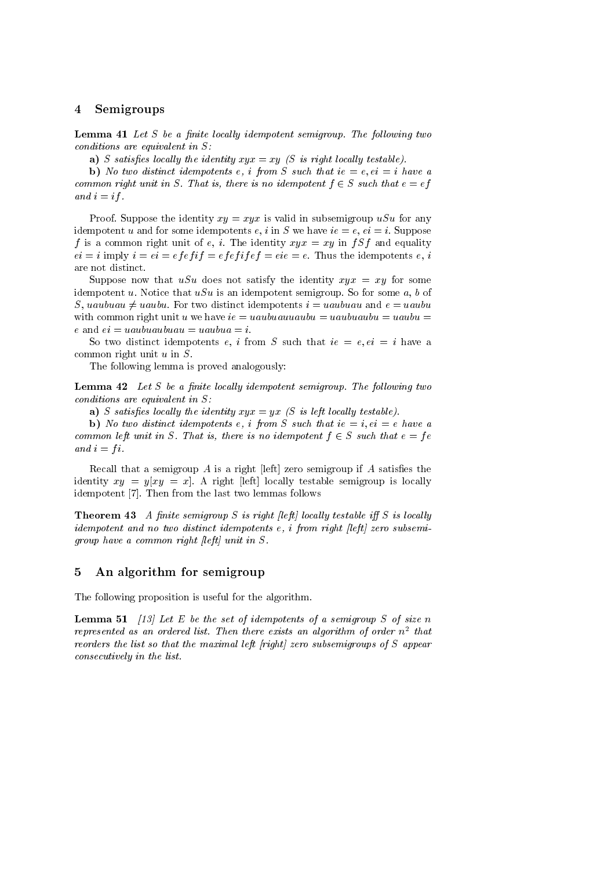#### 4 Semigroups

**Lemma 41** Let  $S$  be a finite locally idempotent semigroup. The following two conditions are equivalent in S:

a) S satisfies locally the identity  $xyx = xy$  (S is right locally testable).

b) No two distinct idempotents e, i from S such that  $ie = e, ei = i$  have a common right unit in S. That is, there is no idempotent  $f \in S$  such that  $e = ef$ and  $i = if$ .

Proof. Suppose the identity  $xy = xyx$  is valid in subsemigroup uSu for any idempotent u and for some idempotents e, i in S we have  $ie = e$ ,  $ei = i$ . Suppose f is a common right unit of e, i. The identity  $xyx = xy$  in fSf and equality  $ei = i$  imply  $i = ei = ef\hat{eff} = ef\hat{eff} = ei = ei = ei$ . Thus the idempotents  $e, i$ are not distinct.

Suppose now that uSu does not satisfy the identity  $xyx = xy$  for some idempotent u. Notice that  $uSu$  is an idempotent semigroup. So for some a, b of S, uaubuau  $\neq$  uaubu. For two distinct idempotents  $i = u$ aubuau and  $e = u$ aubu with common right unit u we have  $ie = uaubuauuaubu = uaubuuu = uaubu =$ e and  $ei = uaubuaubuau = uaubua = i$ .

So two distinct idempotents e, i from S such that  $ie = e, ei = i$  have a common right unit  $u$  in  $S$ .

The following lemma is proved analogously:

**Lemma 42** Let  $S$  be a finite locally idempotent semigroup. The following two conditions are equivalent in S:

a) S satisfies locally the identity  $xyz = yx$  (S is left locally testable).

b) No two distinct idempotents e, i from S such that  $ie = i, ei = e$  have a common left unit in S. That is, there is no idempotent  $f \in S$  such that  $e = fe$ and  $i = fi$ .

Recall that a semigroup  $A$  is a right [left] zero semigroup if  $A$  satisfies the identity  $xy = y(xy = x)$ . A right [left] locally testable semigroup is locally idempotent [7]. Then from the last two lemmas follows

**Theorem 43** A finite semigroup S is right [left] locally testable iff S is locally idempotent and no two distinct idempotents  $e$ , i from right [left] zero subsemigroup have a common right [left] unit in S.

# 5 An algorithm for semigroup

The following proposition is useful for the algorithm.

**Lemma 51** [13] Let E be the set of idempotents of a semigroup S of size n represented as an ordered list. Then there exists an algorithm of order  $n^2$  that reorders the list so that the maximal left [right] zero subsemigroups of S appear consecutively in the list.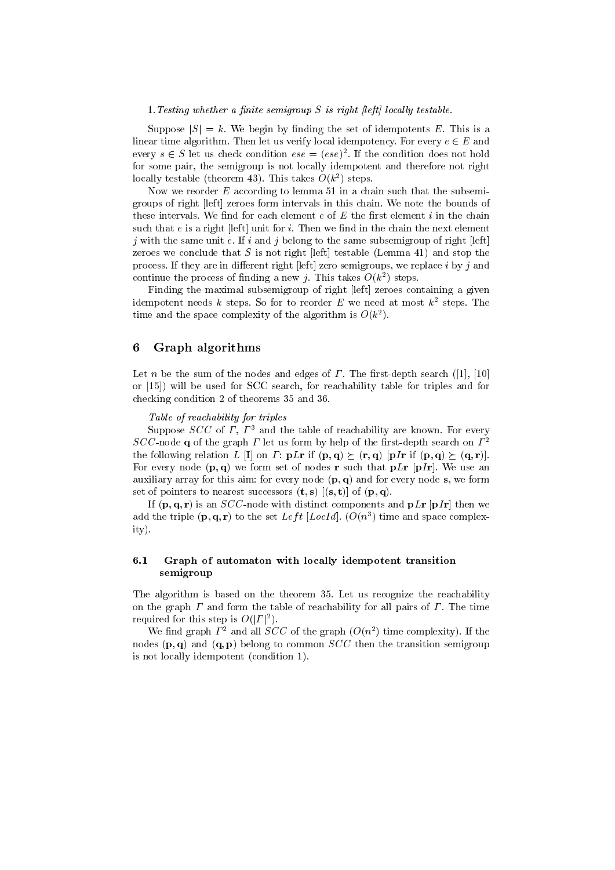#### 1. Testing whether a finite semigroup  $S$  is right [left] locally testable.

Suppose  $|S| = k$ . We begin by finding the set of idempotents E. This is a linear time algorithm. Then let us verify local idempotency. For every  $e \in E$  and every  $s \in S$  let us check condition  $ese = (ese)^2$ . If the condition does not hold for some pair, the semigroup is not locally idempotent and therefore not right locally testable (theorem 43). This takes  $O(k^2)$  steps.

Now we reorder  $E$  according to lemma 51 in a chain such that the subsemigroups of right [left] zeroes form intervals in this chain. We note the bounds of these intervals. We find for each element  $e$  of  $E$  the first element  $i$  in the chain such that  $e$  is a right [left] unit for i. Then we find in the chain the next element *j* with the same unit e. If i and j belong to the same subsemigroup of right [left] zeroes we conclude that  $S$  is not right [left] testable (Lemma 41) and stop the process. If they are in different right [left] zero semigroups, we replace  $i$  by  $j$  and continue the process of finding a new j. This takes  $O(k^2)$  steps.

Finding the maximal subsemigroup of right [left] zeroes containing a given idempotent needs  $k$  steps. So for to reorder  $E$  we need at most  $k^2$  steps. The time and the space complexity of the algorithm is  $O(k^2)$ .

#### 6 Graph algorithms

Let n be the sum of the nodes and edges of  $\Gamma$ . The first-depth search ([1], [10] or [15]) will be used for SCC search, for reachability table for triples and for checking condition 2 of theorems 35 and 36.

Table of reachability for triples

Suppose  $SCC$  of  $\Gamma$ ,  $\Gamma^3$  and the table of reachability are known. For every  $SCC$ -node **q** of the graph  $\varGamma$  let us form by help of the first-depth search on  $\varGamma^2$ the following relation L [I] on  $\Gamma: \mathbf{p}L\mathbf{r}$  if  $(\mathbf{p}, \mathbf{q}) \succ (\mathbf{r}, \mathbf{q})$  [p $I\mathbf{r}$  if  $(\mathbf{p}, \mathbf{q}) \succ (\mathbf{q}, \mathbf{r})$ ]. For every node  $(p, q)$  we form set of nodes **r** such that  $p\text{L}_r$  [pIr]. We use an auxiliary array for this aim: for every node  $(p, q)$  and for every node s, we form set of pointers to nearest successors  $(\mathbf{t}, \mathbf{s})$   $[(\mathbf{s}, \mathbf{t})]$  of  $(\mathbf{p}, \mathbf{q})$ .

If  $(p, q, r)$  is an *SCC*-node with distinct components and  $pLr$  [pIr] then we add the triple  $({\bf p},{\bf q},{\bf r})$  to the set  $Left$  [LocId].  $(O(n^3)$  time and space complexity).

# 6.1 Graph of automaton with locally idempotent transition semigroup

The algorithm is based on the theorem 35. Let us recognize the reachability on the graph  $\Gamma$  and form the table of reachability for all pairs of  $\Gamma$ . The time required for this step is  $O(|\Gamma|^2)$ .

We find graph  $\Gamma^2$  and all  $SCC$  of the graph  $(O(n^2)$  time complexity). If the nodes  $(\mathbf{p}, \mathbf{q})$  and  $(\mathbf{q}, \mathbf{p})$  belong to common  $SCC$  then the transition semigroup is not locally idempotent (condition 1).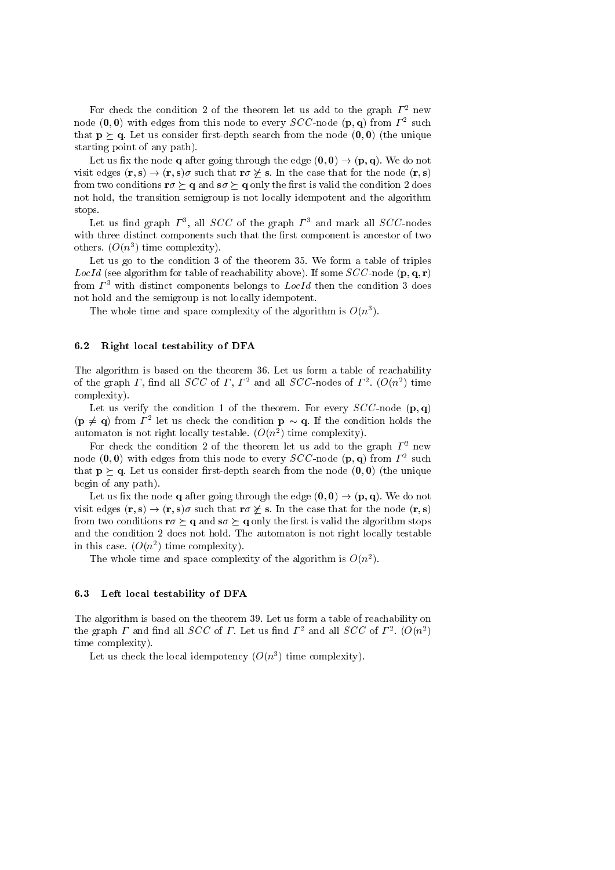For check the condition 2 of the theorem let us add to the graph  $\varGamma^2$  new node  $({\bf 0},{\bf 0})$  with edges from this node to every  $SCC\text{-node}$   $({\bf p},{\bf q})$  from  $\varGamma^2$  such that  $p \succ q$ . Let us consider first-depth search from the node  $(0,0)$  (the unique starting point of any path).

Let us fix the node **q** after going through the edge  $(0, 0) \rightarrow (p, q)$ . We do not visit edges  $(\mathbf{r}, \mathbf{s}) \rightarrow (\mathbf{r}, \mathbf{s})\sigma$  such that  $\mathbf{r}\sigma \not\sim \mathbf{s}$ . In the case that for the node  $(\mathbf{r}, \mathbf{s})$ from two conditions  $r\sigma \succeq q$  and  $s\sigma \succeq q$  only the first is valid the condition 2 does not hold, the transition semigroup is not locally idempotent and the algorithm stops.

Let us find graph  $\Gamma^3$ , all  $SCC$  of the graph  $\Gamma^3$  and mark all  $SCC$ -nodes with three distinct components such that the first component is ancestor of two others.  $(O(n^3)$  time complexity).

Let us go to the condition 3 of the theorem 35. We form a table of triples *LocId* (see algorithm for table of reachability above). If some  $SCC$ -node  $(\mathbf{p}, \mathbf{q}, \mathbf{r})$ from  $\Gamma^3$  with distinct components belongs to  $Locald$  then the condition 3 does not hold and the semigroup is not locally idempotent.

The whole time and space complexity of the algorithm is  $O(n^3)$ .

#### 6.2 Right local testability of DFA

The algorithm is based on the theorem 36. Let us form a table of reachability of the graph  $\Gamma$ , find all  $SCC$  of  $\Gamma$ ,  $\Gamma^2$  and all  $SCC$ -nodes of  $\Gamma^2$ .  $(O(n^2)$  time complexity).

Let us verify the condition 1 of the theorem. For every  $SCC$ -node  $(p, q)$  $(\mathbf{p} \neq \mathbf{q})$  from  $\Gamma^2$  let us check the condition  $\mathbf{p} \sim \mathbf{q}$ . If the condition holds the automaton is not right locally testable.  $(O(n^2)$  time complexity).

For check the condition 2 of the theorem let us add to the graph  $\mathit{\Gamma}^{2}$  new node  $({\bf 0},{\bf 0})$  with edges from this node to every  $SCC\text{-node}$   $({\bf p},{\bf q})$  from  $\varGamma^2$  such that  $p \succeq q$ . Let us consider first-depth search from the node  $(0, 0)$  (the unique begin of any path).

Let us fix the node **q** after going through the edge  $(0,0) \rightarrow (p,q)$ . We do not visit edges  $(\mathbf{r}, \mathbf{s}) \to (\mathbf{r}, \mathbf{s})\sigma$  such that  $\mathbf{r} \sigma \not\succeq \mathbf{s}$ . In the case that for the node  $(\mathbf{r}, \mathbf{s})$ from two conditions  $\mathbf{r}\sigma \succ \mathbf{q}$  and  $\mathbf{s}\sigma \succ \mathbf{q}$  only the first is valid the algorithm stops and the condition 2 does not hold. The automaton is not right locally testable in this case.  $(O(n^2)$  time complexity).

The whole time and space complexity of the algorithm is  $O(n^2)$ .

#### 6.3 Left local testability of DFA

The algorithm is based on the theorem 39. Let us form a table of reachability on the graph  $\Gamma$  and find all  $SCC$  of  $\Gamma$ . Let us find  $\Gamma^2$  and all  $SCC$  of  $\Gamma^2$ .  $(O(n^2)$ time complexity).

Let us check the local idempotency  $(O(n^3)$  time complexity).